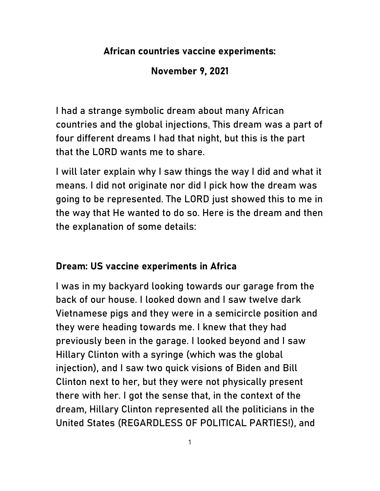## African countries vaccine experiments:

## November 9, 2021

I had a strange symbolic dream about many African countries and the global injections. This dream was a part of four different dreams I had that night, but this is the part that the LORD wants me to share.

I will later explain why I saw things the way I did and what it means. I did not originate nor did I pick how the dream was going to be represented. The LORD just showed this to me in the way that He wanted to do so. Here is the dream and then the explanation of some details:

## Dream: US vaccine experiments in Africa

I was in my backyard looking towards our garage from the back of our house. I looked down and I saw twelve dark Vietnamese pigs and they were in a semicircle position and they were heading towards me. I knew that they had previously been in the garage. I looked beyond and I saw Hillary Clinton with a syringe (which was the global injection), and I saw two quick visions of Biden and Bill Clinton next to her, but they were not physically present there with her. I got the sense that, in the context of the dream, Hillary Clinton represented all the politicians in the United States (REGARDLESS OF POLITICAL PARTIES!), and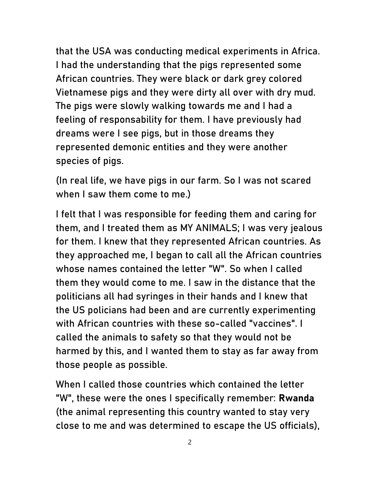that the USA was conducting medical experiments in Africa. I had the understanding that the pigs represented some African countries. They were black or dark grey colored Vietnamese pigs and they were dirty all over with dry mud. The pigs were slowly walking towards me and I had a feeling of responsability for them. I have previously had dreams were I see pigs, but in those dreams they represented demonic entities and they were another species of pigs.

(In real life, we have pigs in our farm. So I was not scared when I saw them come to me.)

I felt that I was responsible for feeding them and caring for them, and I treated them as MY ANIMALS; I was very jealous for them. I knew that they represented African countries. As they approached me, I began to call all the African countries whose names contained the letter "W". So when I called them they would come to me. I saw in the distance that the politicians all had syringes in their hands and I knew that the US policians had been and are currently experimenting with African countries with these so-called "vaccines". I called the animals to safety so that they would not be harmed by this, and I wanted them to stay as far away from those people as possible.

When I called those countries which contained the letter "W", these were the ones I specifically remember: Rwanda (the animal representing this country wanted to stay very close to me and was determined to escape the US officials),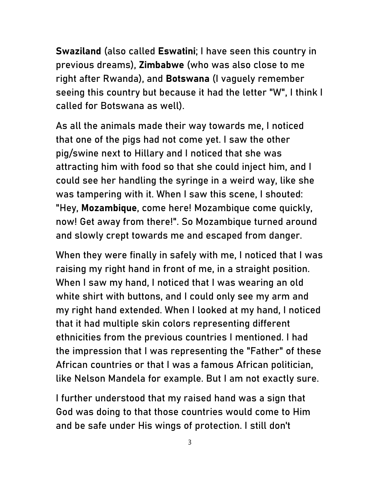Swaziland (also called Eswatini; I have seen this country in previous dreams), Zimbabwe (who was also close to me right after Rwanda), and Botswana (I vaguely remember seeing this country but because it had the letter "W", I think I called for Botswana as well).

As all the animals made their way towards me, I noticed that one of the pigs had not come yet. I saw the other pig/swine next to Hillary and I noticed that she was attracting him with food so that she could inject him, and I could see her handling the syringe in a weird way, like she was tampering with it. When I saw this scene, I shouted: "Hey, Mozambique, come here! Mozambique come quickly, now! Get away from there!". So Mozambique turned around and slowly crept towards me and escaped from danger.

When they were finally in safely with me, I noticed that I was raising my right hand in front of me, in a straight position. When I saw my hand, I noticed that I was wearing an old white shirt with buttons, and I could only see my arm and my right hand extended. When I looked at my hand, I noticed that it had multiple skin colors representing different ethnicities from the previous countries I mentioned. I had the impression that I was representing the "Father" of these African countries or that I was a famous African politician, like Nelson Mandela for example. But I am not exactly sure.

I further understood that my raised hand was a sign that God was doing to that those countries would come to Him and be safe under His wings of protection. I still don't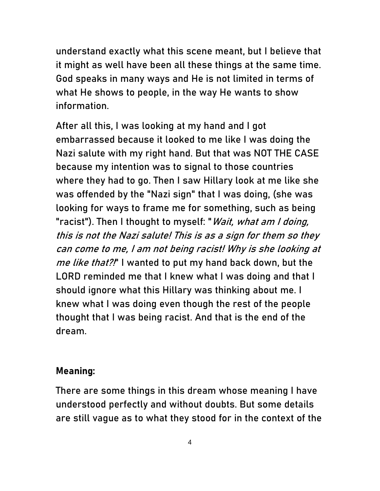understand exactly what this scene meant, but I believe that it might as well have been all these things at the same time. God speaks in many ways and He is not limited in terms of what He shows to people, in the way He wants to show information.

After all this, I was looking at my hand and I got embarrassed because it looked to me like I was doing the Nazi salute with my right hand. But that was NOT THE CASE because my intention was to signal to those countries where they had to go. Then I saw Hillary look at me like she was offended by the "Nazi sign" that I was doing, (she was looking for ways to frame me for something, such as being "racist"). Then I thought to myself: "Wait, what am I doing, this is not the Nazi salute! This is as a sign for them so they can come to me, I am not being racist! Why is she looking at me like that?!" I wanted to put my hand back down, but the LORD reminded me that I knew what I was doing and that I should ignore what this Hillary was thinking about me. I knew what I was doing even though the rest of the people thought that I was being racist. And that is the end of the dream.

## Meaning:

There are some things in this dream whose meaning I have understood perfectly and without doubts. But some details are still vague as to what they stood for in the context of the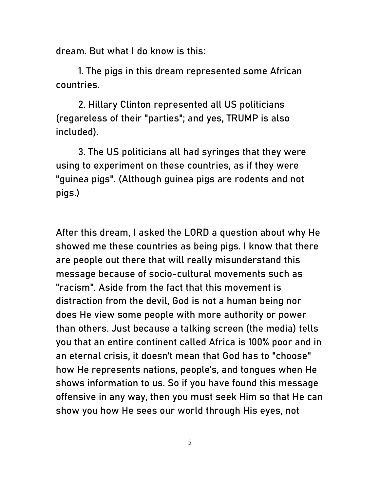dream. But what I do know is this:

1. The pigs in this dream represented some African countries.

2. Hillary Clinton represented all US politicians (regareless of their "parties"; and yes, TRUMP is also included).

3. The US politicians all had syringes that they were using to experiment on these countries, as if they were "guinea pigs". (Although guinea pigs are rodents and not pigs.)

After this dream, I asked the LORD a question about why He showed me these countries as being pigs. I know that there are people out there that will really misunderstand this message because of socio-cultural movements such as "racism". Aside from the fact that this movement is distraction from the devil, God is not a human being nor does He view some people with more authority or power than others. Just because a talking screen (the media) tells you that an entire continent called Africa is 100% poor and in an eternal crisis, it doesn't mean that God has to "choose" how He represents nations, people's, and tongues when He shows information to us. So if you have found this message offensive in any way, then you must seek Him so that He can show you how He sees our world through His eyes, not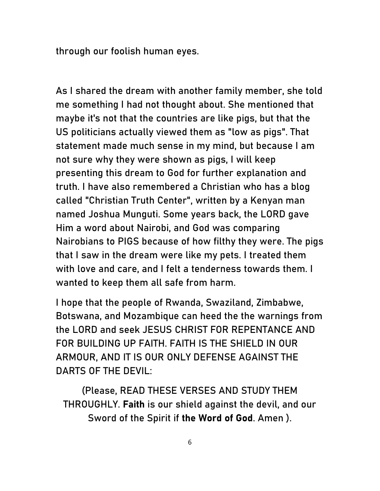through our foolish human eyes.

As I shared the dream with another family member, she told me something I had not thought about. She mentioned that maybe it's not that the countries are like pigs, but that the US politicians actually viewed them as "low as pigs". That statement made much sense in my mind, but because I am not sure why they were shown as pigs, I will keep presenting this dream to God for further explanation and truth. I have also remembered a Christian who has a blog called "Christian Truth Center", written by a Kenyan man named Joshua Munguti. Some years back, the LORD gave Him a word about Nairobi, and God was comparing Nairobians to PIGS because of how filthy they were. The pigs that I saw in the dream were like my pets. I treated them with love and care, and I felt a tenderness towards them. I wanted to keep them all safe from harm.

I hope that the people of Rwanda, Swaziland, Zimbabwe, Botswana, and Mozambique can heed the the warnings from the LORD and seek JESUS CHRIST FOR REPENTANCE AND FOR BUILDING UP FAITH. FAITH IS THE SHIELD IN OUR ARMOUR, AND IT IS OUR ONLY DEFENSE AGAINST THE DARTS OF THE DEVIL:

(Please, READ THESE VERSES AND STUDY THEM THROUGHLY. Faith is our shield against the devil, and our Sword of the Spirit if the Word of God. Amen ).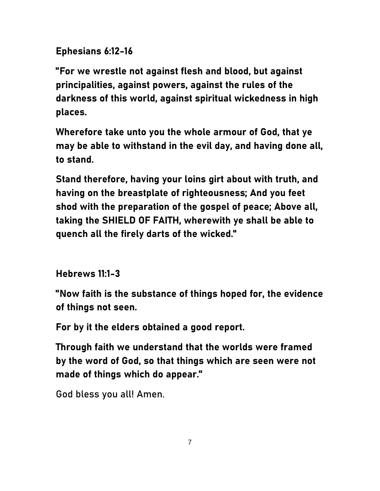Ephesians 6:12-16

"For we wrestle not against flesh and blood, but against principalities, against powers, against the rules of the darkness of this world, against spiritual wickedness in high places.

Wherefore take unto you the whole armour of God, that ye may be able to withstand in the evil day, and having done all, to stand.

Stand therefore, having your loins girt about with truth, and having on the breastplate of righteousness; And you feet shod with the preparation of the gospel of peace; Above all, taking the SHIELD OF FAITH, wherewith ye shall be able to quench all the firely darts of the wicked."

Hebrews 11:1-3

"Now faith is the substance of things hoped for, the evidence of things not seen.

For by it the elders obtained a good report.

Through faith we understand that the worlds were framed by the word of God, so that things which are seen were not made of things which do appear."

God bless you all! Amen.